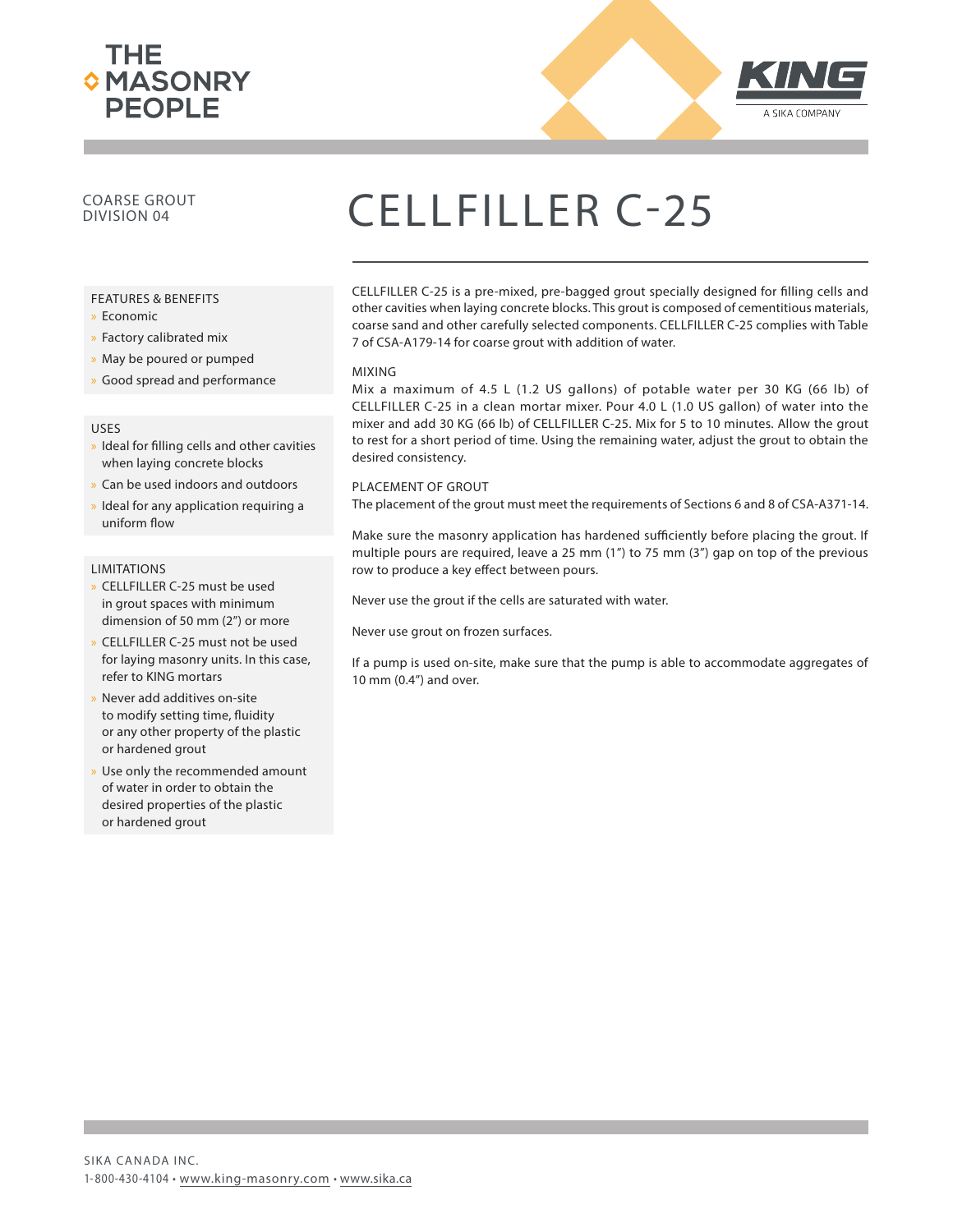



### COARSE GROUT

#### FEATURES & BENEFITS

- x Economic
- » Factory calibrated mix
- » May be poured or pumped
- » Good spread and performance

#### USES

- » Ideal for filling cells and other cavities when laying concrete blocks
- x Can be used indoors and outdoors
- Ideal for any application requiring a uniform flow

#### **LIMITATIONS**

- x CELLFILLER C-25 must be used in grout spaces with minimum dimension of 50 mm (2") or more
- x CELLFILLER C-25 must not be used for laying masonry units. In this case, refer to KING mortars
- Never add additives on-site to modify setting time, fluidity or any other property of the plastic or hardened grout
- Use only the recommended amount of water in order to obtain the desired properties of the plastic or hardened grout

## COARSE GROUT CELLFILLER C-25

CELLFILLER C-25 is a pre-mixed, pre-bagged grout specially designed for filling cells and other cavities when laying concrete blocks. This grout is composed of cementitious materials, coarse sand and other carefully selected components. CELLFILLER C-25 complies with Table 7 of CSA-A179-14 for coarse grout with addition of water.

#### MIXING

Mix a maximum of 4.5 L (1.2 US gallons) of potable water per 30 KG (66 lb) of CELLFILLER C-25 in a clean mortar mixer. Pour 4.0 L (1.0 US gallon) of water into the mixer and add 30 KG (66 lb) of CELLFILLER C-25. Mix for 5 to 10 minutes. Allow the grout to rest for a short period of time. Using the remaining water, adjust the grout to obtain the desired consistency.

#### PLACEMENT OF GROUT

The placement of the grout must meet the requirements of Sections 6 and 8 of CSA-A371-14.

Make sure the masonry application has hardened sufficiently before placing the grout. If multiple pours are required, leave a 25 mm (1") to 75 mm (3") gap on top of the previous row to produce a key effect between pours.

Never use the grout if the cells are saturated with water.

Never use grout on frozen surfaces.

If a pump is used on-site, make sure that the pump is able to accommodate aggregates of 10 mm (0.4") and over.